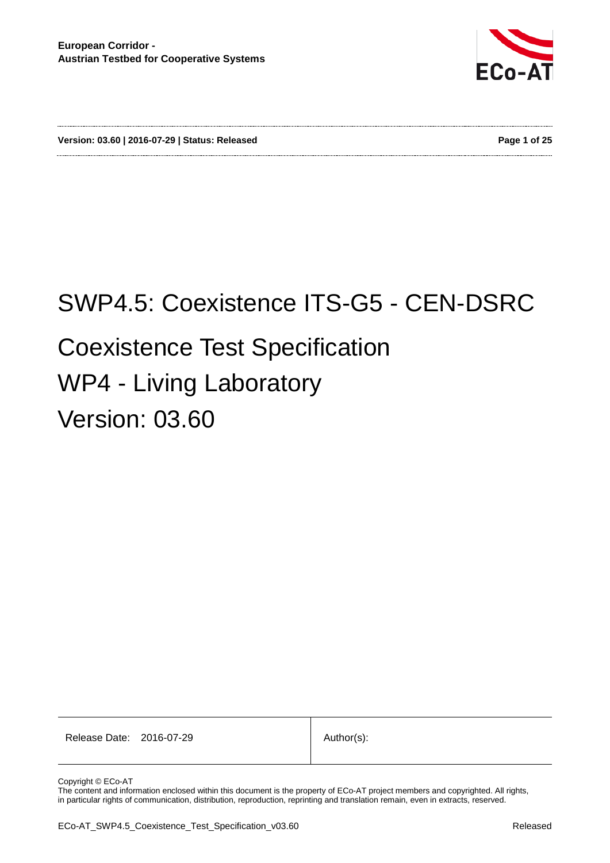

**Version: 03.60 | 2016-07-29 | Status: Released Page 1 of 25**

# SWP4.5: Coexistence ITS-G5 - CEN-DSRC Coexistence Test Specification WP4 - Living Laboratory Version: 03.60

Release Date: 2016-07-29 | Author(s):

Copyright © ECo-AT

The content and information enclosed within this document is the property of ECo-AT project members and copyrighted. All rights, in particular rights of communication, distribution, reproduction, reprinting and translation remain, even in extracts, reserved.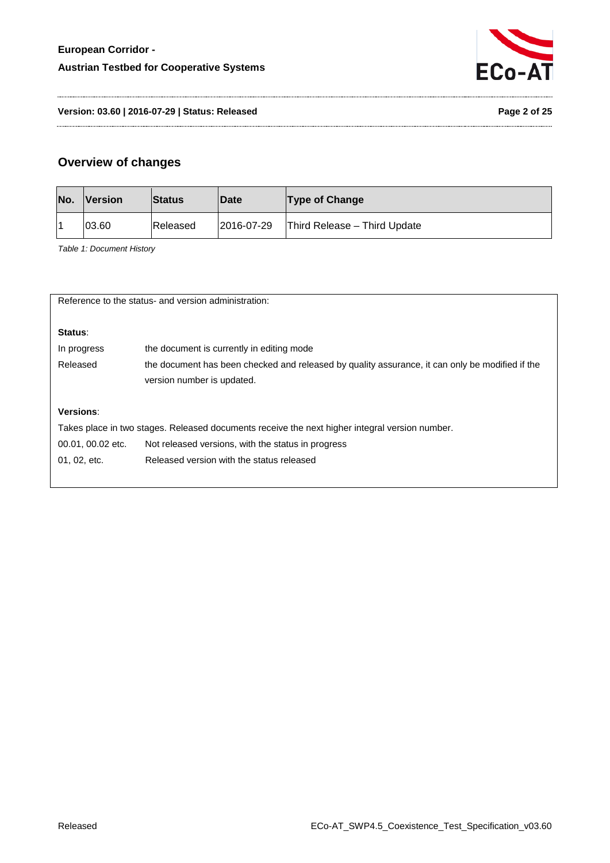

**Version: 03.60 | 2016-07-29 | Status: Released Page 2 of 25**

### **Overview of changes**

<span id="page-1-0"></span>

| No. | <b>Nersion</b> | <b>Status</b> | <b>Date</b> | <b>Type of Change</b>        |
|-----|----------------|---------------|-------------|------------------------------|
|     | 03.60          | Released      | 2016-07-29  | Third Release - Third Update |

*Table 1: Document History*

| Reference to the status- and version administration:                                           |                                                                                                 |  |  |  |
|------------------------------------------------------------------------------------------------|-------------------------------------------------------------------------------------------------|--|--|--|
|                                                                                                |                                                                                                 |  |  |  |
|                                                                                                |                                                                                                 |  |  |  |
| Status:                                                                                        |                                                                                                 |  |  |  |
| In progress                                                                                    | the document is currently in editing mode                                                       |  |  |  |
| Released                                                                                       | the document has been checked and released by quality assurance, it can only be modified if the |  |  |  |
|                                                                                                | version number is updated.                                                                      |  |  |  |
|                                                                                                |                                                                                                 |  |  |  |
| Versions:                                                                                      |                                                                                                 |  |  |  |
| Takes place in two stages. Released documents receive the next higher integral version number. |                                                                                                 |  |  |  |
| 00.01, 00.02 etc.                                                                              | Not released versions, with the status in progress                                              |  |  |  |
| 01, 02, etc.                                                                                   | Released version with the status released                                                       |  |  |  |
|                                                                                                |                                                                                                 |  |  |  |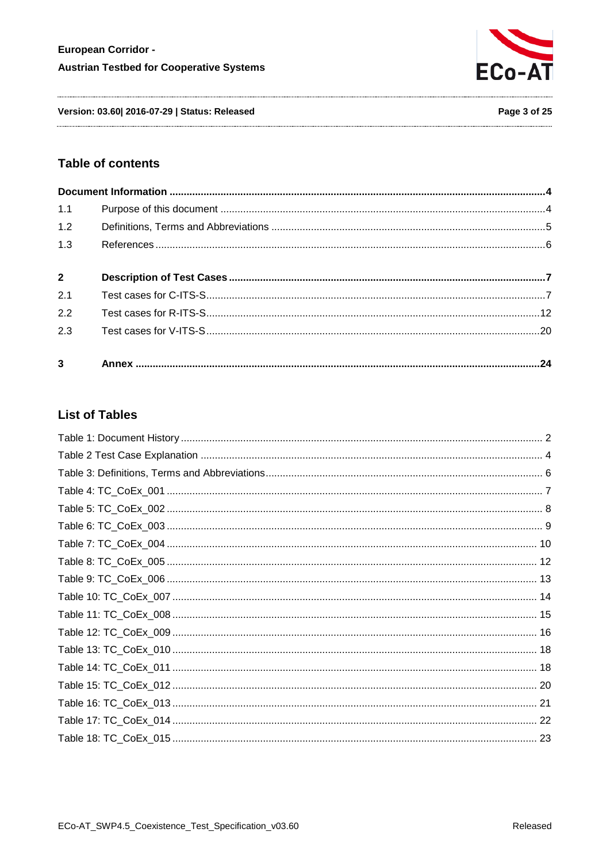

Version: 03.60| 2016-07-29 | Status: Released

Page 3 of 25

#### **Table of contents**

| 1.1            |  |
|----------------|--|
| 1.2            |  |
| 1.3            |  |
| $2^{\circ}$    |  |
| 2.1            |  |
| 2.2            |  |
| 2.3            |  |
| $\overline{3}$ |  |

# **List of Tables**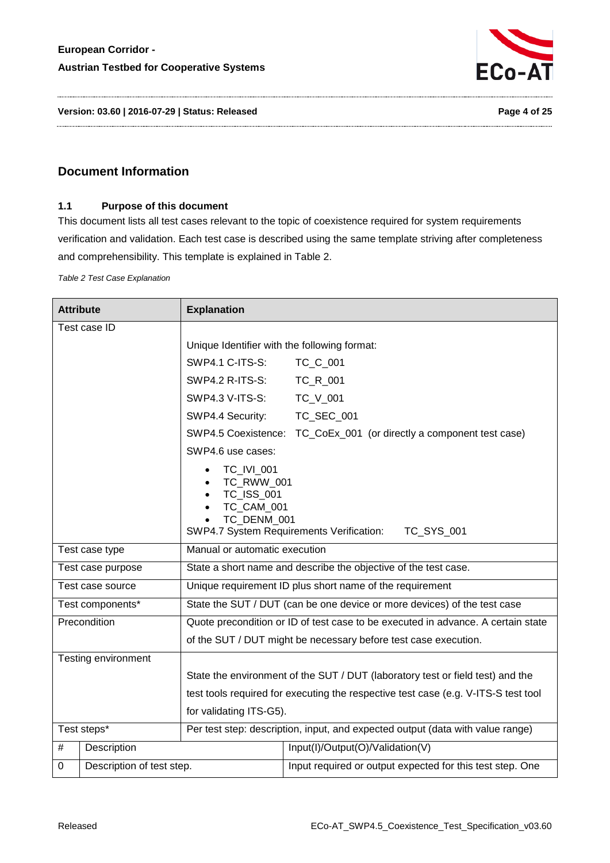

**Version: 03.60 | 2016-07-29 | Status: Released Page 4 of 25**

#### <span id="page-3-1"></span><span id="page-3-0"></span>**Document Information**

#### **1.1 Purpose of this document**

This document lists all test cases relevant to the topic of coexistence required for system requirements verification and validation. Each test case is described using the same template striving after completeness and comprehensibility. This template is explained in [Table 2.](#page-3-2)

<span id="page-3-2"></span>*Table 2 Test Case Explanation*

| <b>Attribute</b>               |                     | <b>Explanation</b>                                                               |                                                                                    |  |  |
|--------------------------------|---------------------|----------------------------------------------------------------------------------|------------------------------------------------------------------------------------|--|--|
| Test case ID                   |                     |                                                                                  |                                                                                    |  |  |
|                                |                     | Unique Identifier with the following format:                                     |                                                                                    |  |  |
|                                |                     | SWP4.1 C-ITS-S:                                                                  | TC_C_001                                                                           |  |  |
|                                |                     | SWP4.2 R-ITS-S:                                                                  | TC_R_001                                                                           |  |  |
|                                |                     | SWP4.3 V-ITS-S:                                                                  | TC_V_001                                                                           |  |  |
|                                |                     | SWP4.4 Security:                                                                 | TC_SEC_001                                                                         |  |  |
|                                |                     | SWP4.5 Coexistence:                                                              | TC_CoEx_001 (or directly a component test case)                                    |  |  |
|                                |                     | SWP4.6 use cases:                                                                |                                                                                    |  |  |
|                                |                     | TC_IVI_001<br>TC_RWW_001<br><b>TC ISS 001</b><br>TC_CAM_001<br>TC DENM 001       | SWP4.7 System Requirements Verification:<br>TC_SYS_001                             |  |  |
| Test case type                 |                     | Manual or automatic execution                                                    |                                                                                    |  |  |
| Test case purpose              |                     | State a short name and describe the objective of the test case.                  |                                                                                    |  |  |
|                                | Test case source    | Unique requirement ID plus short name of the requirement                         |                                                                                    |  |  |
|                                | Test components*    | State the SUT / DUT (can be one device or more devices) of the test case         |                                                                                    |  |  |
|                                | Precondition        | Quote precondition or ID of test case to be executed in advance. A certain state |                                                                                    |  |  |
|                                |                     | of the SUT / DUT might be necessary before test case execution.                  |                                                                                    |  |  |
|                                | Testing environment |                                                                                  |                                                                                    |  |  |
|                                |                     |                                                                                  | State the environment of the SUT / DUT (laboratory test or field test) and the     |  |  |
|                                |                     |                                                                                  | test tools required for executing the respective test case (e.g. V-ITS-S test tool |  |  |
|                                |                     | for validating ITS-G5).                                                          |                                                                                    |  |  |
| Test steps*                    |                     | Per test step: description, input, and expected output (data with value range)   |                                                                                    |  |  |
| #                              | Description         |                                                                                  | Input(I)/Output(O)/Validation(V)                                                   |  |  |
| Description of test step.<br>0 |                     |                                                                                  | Input required or output expected for this test step. One                          |  |  |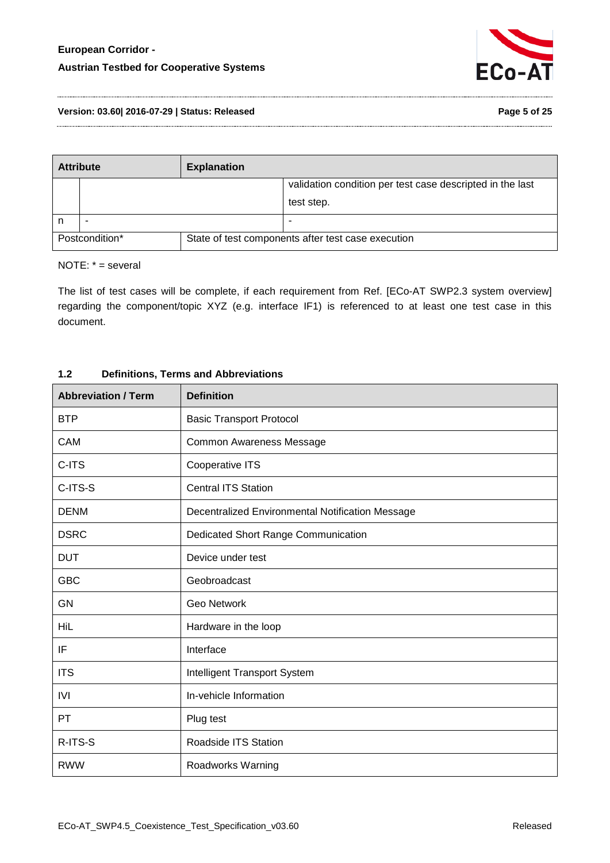

#### **Version: 03.60| 2016-07-29 | Status: Released Page 5 of 25**

| <b>Attribute</b> |  | <b>Explanation</b> |                                                           |
|------------------|--|--------------------|-----------------------------------------------------------|
|                  |  |                    | validation condition per test case descripted in the last |
|                  |  |                    | test step.                                                |
|                  |  |                    | -                                                         |
| Postcondition*   |  |                    | State of test components after test case execution        |

NOTE: \* = several

The list of test cases will be complete, if each requirement from Ref. [ECo-AT SWP2.3 system overview] regarding the component/topic XYZ (e.g. interface IF1) is referenced to at least one test case in this document.

# **Abbreviation / Term Definition** BTP Basic Transport Protocol CAM COMMON COMMON AWARENESS Message C-ITS Cooperative ITS C-ITS-S Contral ITS Station DENM Decentralized Environmental Notification Message DSRC DED Dedicated Short Range Communication DUT Device under test GBC Geobroadcast GN Geo Network HiL **Hardware in the loop** IF Interface ITS **Intelligent Transport System** IVI In-vehicle Information PT Plug test R-ITS-S ROADS ROADSIDE ITS Station RWW Roadworks Warning

#### <span id="page-4-0"></span>**1.2 Definitions, Terms and Abbreviations**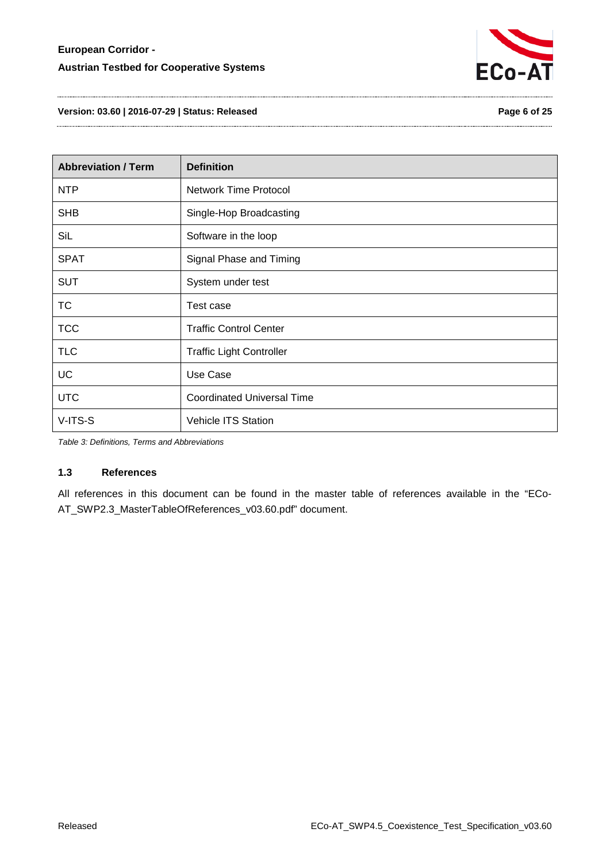

**Version: 03.60 | 2016-07-29 | Status: Released Page 6 of 25**

| <b>Abbreviation / Term</b> | <b>Definition</b>                 |
|----------------------------|-----------------------------------|
| <b>NTP</b>                 | <b>Network Time Protocol</b>      |
| <b>SHB</b>                 | Single-Hop Broadcasting           |
| SiL                        | Software in the loop              |
| <b>SPAT</b>                | Signal Phase and Timing           |
| <b>SUT</b>                 | System under test                 |
| <b>TC</b>                  | Test case                         |
| <b>TCC</b>                 | <b>Traffic Control Center</b>     |
| <b>TLC</b>                 | <b>Traffic Light Controller</b>   |
| <b>UC</b>                  | Use Case                          |
| <b>UTC</b>                 | <b>Coordinated Universal Time</b> |
| V-ITS-S                    | <b>Vehicle ITS Station</b>        |

<span id="page-5-1"></span>*Table 3: Definitions, Terms and Abbreviations*

#### <span id="page-5-0"></span>**1.3 References**

All references in this document can be found in the master table of references available in the "ECo-AT\_SWP2.3\_MasterTableOfReferences\_v03.60.pdf" document.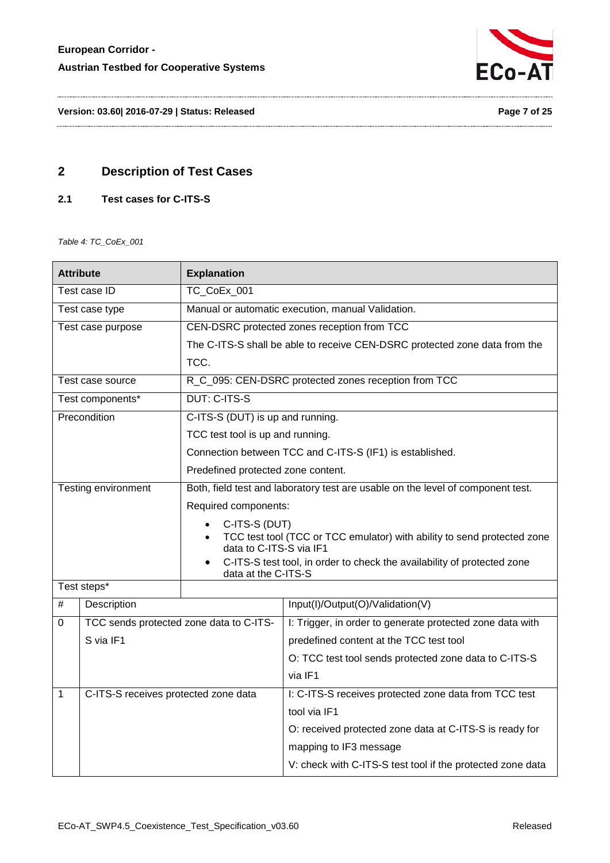

**Version: 03.60| 2016-07-29 | Status: Released Page 7 of 25**

# <span id="page-6-0"></span>**2 Description of Test Cases**

#### <span id="page-6-1"></span>**2.1 Test cases for C-ITS-S**

<span id="page-6-2"></span>*Table 4: TC\_CoEx\_001*

| <b>Attribute</b> |                                         | <b>Explanation</b>                                                                                 |                                                                            |  |
|------------------|-----------------------------------------|----------------------------------------------------------------------------------------------------|----------------------------------------------------------------------------|--|
| Test case ID     |                                         | TC CoEx 001                                                                                        |                                                                            |  |
|                  | Test case type                          |                                                                                                    | Manual or automatic execution, manual Validation.                          |  |
|                  | Test case purpose                       |                                                                                                    | CEN-DSRC protected zones reception from TCC                                |  |
|                  |                                         |                                                                                                    | The C-ITS-S shall be able to receive CEN-DSRC protected zone data from the |  |
|                  |                                         | TCC.                                                                                               |                                                                            |  |
|                  | Test case source                        |                                                                                                    | R_C_095: CEN-DSRC protected zones reception from TCC                       |  |
|                  | Test components*                        | <b>DUT: C-ITS-S</b>                                                                                |                                                                            |  |
|                  | Precondition                            | C-ITS-S (DUT) is up and running.                                                                   |                                                                            |  |
|                  |                                         | TCC test tool is up and running.                                                                   |                                                                            |  |
|                  |                                         |                                                                                                    | Connection between TCC and C-ITS-S (IF1) is established.                   |  |
|                  |                                         | Predefined protected zone content.                                                                 |                                                                            |  |
|                  | Testing environment                     | Both, field test and laboratory test are usable on the level of component test.                    |                                                                            |  |
|                  |                                         | Required components:                                                                               |                                                                            |  |
|                  |                                         | C-ITS-S (DUT)                                                                                      |                                                                            |  |
|                  |                                         | TCC test tool (TCC or TCC emulator) with ability to send protected zone<br>data to C-ITS-S via IF1 |                                                                            |  |
|                  |                                         |                                                                                                    | C-ITS-S test tool, in order to check the availability of protected zone    |  |
|                  |                                         | data at the C-ITS-S                                                                                |                                                                            |  |
|                  | Test steps*                             |                                                                                                    |                                                                            |  |
| $\#$             | Description                             |                                                                                                    | Input(I)/Output(O)/Validation(V)                                           |  |
| 0                | TCC sends protected zone data to C-ITS- |                                                                                                    | I: Trigger, in order to generate protected zone data with                  |  |
|                  | S via IF1                               |                                                                                                    | predefined content at the TCC test tool                                    |  |
|                  |                                         |                                                                                                    | O: TCC test tool sends protected zone data to C-ITS-S                      |  |
|                  |                                         |                                                                                                    | via IF1                                                                    |  |
| $\mathbf{1}$     | C-ITS-S receives protected zone data    |                                                                                                    | I: C-ITS-S receives protected zone data from TCC test                      |  |
|                  |                                         |                                                                                                    | tool via IF1                                                               |  |
|                  |                                         |                                                                                                    | O: received protected zone data at C-ITS-S is ready for                    |  |
|                  |                                         |                                                                                                    | mapping to IF3 message                                                     |  |
|                  |                                         |                                                                                                    | V: check with C-ITS-S test tool if the protected zone data                 |  |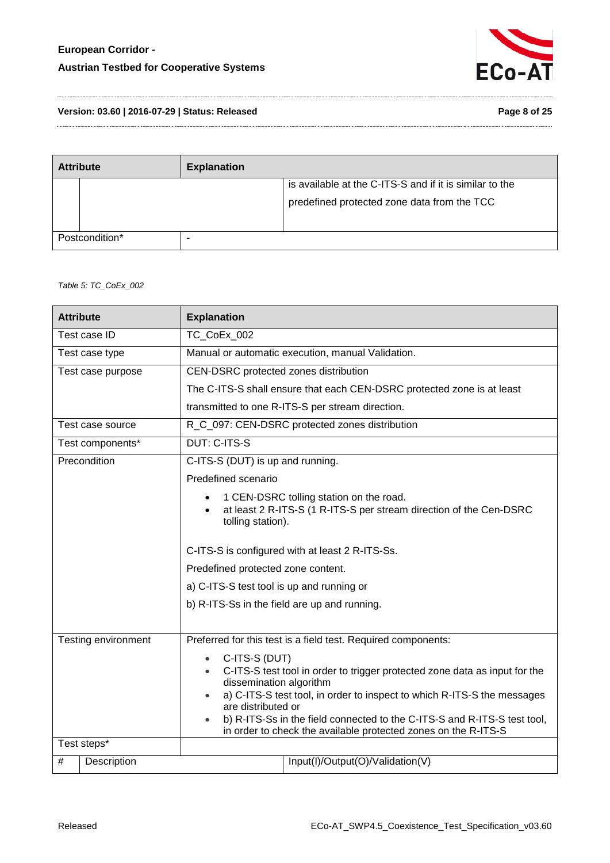

**Version: 03.60 | 2016-07-29 | Status: Released Page 8 of 25**

| <b>Attribute</b> | <b>Explanation</b> |                                                         |
|------------------|--------------------|---------------------------------------------------------|
|                  |                    | is available at the C-ITS-S and if it is similar to the |
|                  |                    | predefined protected zone data from the TCC             |
| Postcondition*   |                    |                                                         |

<span id="page-7-0"></span>*Table 5: TC\_CoEx\_002*

| <b>Attribute</b>    | <b>Explanation</b>                                                                                                                                                                                                                                                                                                                                                                              |                                                                                                               |  |
|---------------------|-------------------------------------------------------------------------------------------------------------------------------------------------------------------------------------------------------------------------------------------------------------------------------------------------------------------------------------------------------------------------------------------------|---------------------------------------------------------------------------------------------------------------|--|
| Test case ID        | TC CoEx 002                                                                                                                                                                                                                                                                                                                                                                                     |                                                                                                               |  |
| Test case type      |                                                                                                                                                                                                                                                                                                                                                                                                 | Manual or automatic execution, manual Validation.                                                             |  |
| Test case purpose   | CEN-DSRC protected zones distribution                                                                                                                                                                                                                                                                                                                                                           |                                                                                                               |  |
|                     |                                                                                                                                                                                                                                                                                                                                                                                                 | The C-ITS-S shall ensure that each CEN-DSRC protected zone is at least                                        |  |
|                     |                                                                                                                                                                                                                                                                                                                                                                                                 | transmitted to one R-ITS-S per stream direction.                                                              |  |
| Test case source    |                                                                                                                                                                                                                                                                                                                                                                                                 | R_C_097: CEN-DSRC protected zones distribution                                                                |  |
| Test components*    | <b>DUT: C-ITS-S</b>                                                                                                                                                                                                                                                                                                                                                                             |                                                                                                               |  |
| Precondition        | C-ITS-S (DUT) is up and running.                                                                                                                                                                                                                                                                                                                                                                |                                                                                                               |  |
|                     | Predefined scenario                                                                                                                                                                                                                                                                                                                                                                             |                                                                                                               |  |
|                     | tolling station).                                                                                                                                                                                                                                                                                                                                                                               | 1 CEN-DSRC tolling station on the road.<br>at least 2 R-ITS-S (1 R-ITS-S per stream direction of the Cen-DSRC |  |
|                     |                                                                                                                                                                                                                                                                                                                                                                                                 | C-ITS-S is configured with at least 2 R-ITS-Ss.                                                               |  |
|                     | Predefined protected zone content.                                                                                                                                                                                                                                                                                                                                                              |                                                                                                               |  |
|                     | a) C-ITS-S test tool is up and running or                                                                                                                                                                                                                                                                                                                                                       |                                                                                                               |  |
|                     | b) R-ITS-Ss in the field are up and running.                                                                                                                                                                                                                                                                                                                                                    |                                                                                                               |  |
|                     |                                                                                                                                                                                                                                                                                                                                                                                                 |                                                                                                               |  |
| Testing environment | Preferred for this test is a field test. Required components:                                                                                                                                                                                                                                                                                                                                   |                                                                                                               |  |
|                     | C-ITS-S (DUT)<br>$\bullet$<br>C-ITS-S test tool in order to trigger protected zone data as input for the<br>$\bullet$<br>dissemination algorithm<br>a) C-ITS-S test tool, in order to inspect to which R-ITS-S the messages<br>are distributed or<br>b) R-ITS-Ss in the field connected to the C-ITS-S and R-ITS-S test tool,<br>in order to check the available protected zones on the R-ITS-S |                                                                                                               |  |
| Test steps*         |                                                                                                                                                                                                                                                                                                                                                                                                 |                                                                                                               |  |
| #<br>Description    |                                                                                                                                                                                                                                                                                                                                                                                                 | Input(I)/Output(O)/Validation(V)                                                                              |  |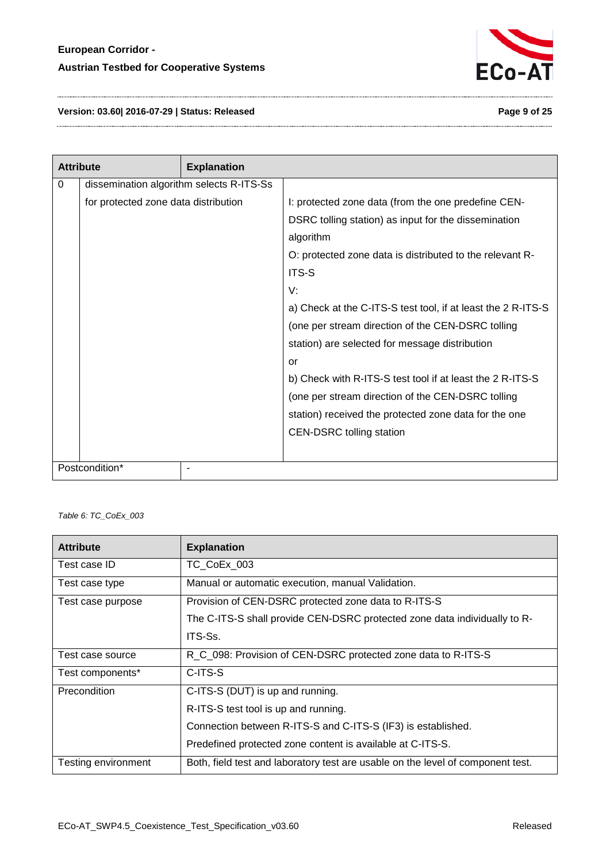

**Version: 03.60| 2016-07-29 | Status: Released Page 9 of 25**

|                     | <b>Attribute</b>                         | <b>Explanation</b> |                                                              |
|---------------------|------------------------------------------|--------------------|--------------------------------------------------------------|
| 0                   | dissemination algorithm selects R-ITS-Ss |                    |                                                              |
|                     | for protected zone data distribution     |                    | I: protected zone data (from the one predefine CEN-          |
|                     |                                          |                    | DSRC tolling station) as input for the dissemination         |
|                     |                                          |                    | algorithm                                                    |
|                     |                                          |                    | O: protected zone data is distributed to the relevant R-     |
|                     |                                          |                    | ITS-S                                                        |
|                     |                                          |                    | V:                                                           |
|                     |                                          |                    | a) Check at the C-ITS-S test tool, if at least the 2 R-ITS-S |
|                     |                                          |                    | (one per stream direction of the CEN-DSRC tolling            |
|                     |                                          |                    | station) are selected for message distribution               |
|                     |                                          |                    | or                                                           |
|                     |                                          |                    | b) Check with R-ITS-S test tool if at least the 2 R-ITS-S    |
|                     |                                          |                    | (one per stream direction of the CEN-DSRC tolling            |
|                     |                                          |                    | station) received the protected zone data for the one        |
|                     |                                          |                    | <b>CEN-DSRC tolling station</b>                              |
|                     |                                          |                    |                                                              |
| Postcondition*<br>٠ |                                          |                    |                                                              |

<span id="page-8-0"></span>*Table 6: TC\_CoEx\_003*

| <b>Attribute</b>    | <b>Explanation</b>                                                              |
|---------------------|---------------------------------------------------------------------------------|
| Test case ID        | TC_CoEx_003                                                                     |
| Test case type      | Manual or automatic execution, manual Validation.                               |
| Test case purpose   | Provision of CEN-DSRC protected zone data to R-ITS-S                            |
|                     | The C-ITS-S shall provide CEN-DSRC protected zone data individually to R-       |
|                     | ITS-Ss.                                                                         |
| Test case source    | R_C_098: Provision of CEN-DSRC protected zone data to R-ITS-S                   |
| Test components*    | C-ITS-S                                                                         |
| <b>Precondition</b> | C-ITS-S (DUT) is up and running.                                                |
|                     | R-ITS-S test tool is up and running.                                            |
|                     | Connection between R-ITS-S and C-ITS-S (IF3) is established.                    |
|                     | Predefined protected zone content is available at C-ITS-S.                      |
| Testing environment | Both, field test and laboratory test are usable on the level of component test. |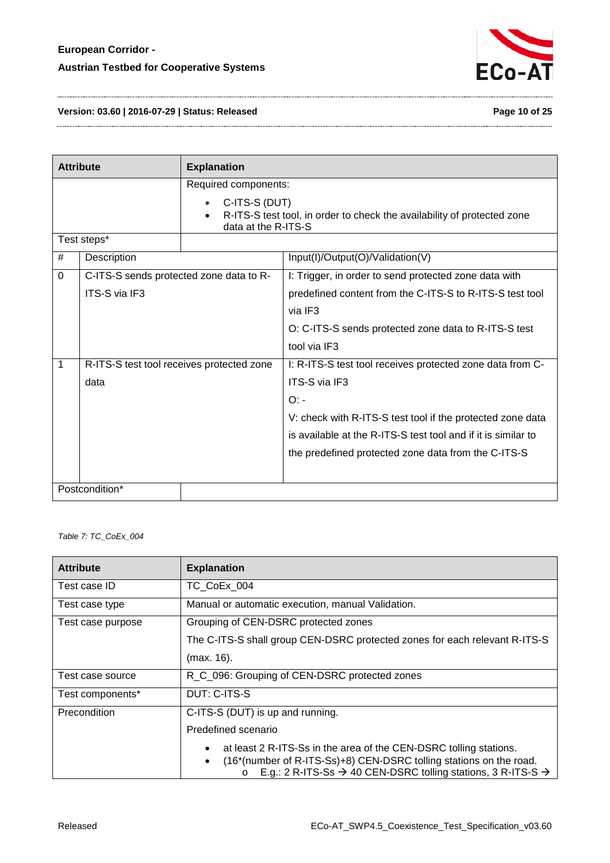

#### **Version: 03.60 | 2016-07-29 | Status: Released Page 10 of 25**

| <b>Attribute</b> |                                           | <b>Explanation</b>   |                                                                         |
|------------------|-------------------------------------------|----------------------|-------------------------------------------------------------------------|
|                  |                                           | Required components: |                                                                         |
| C-ITS-S (DUT)    |                                           | data at the R-ITS-S  | R-ITS-S test tool, in order to check the availability of protected zone |
|                  | Test steps*                               |                      |                                                                         |
| #                | Description                               |                      | Input(I)/Output(O)/Validation(V)                                        |
| 0                | C-ITS-S sends protected zone data to R-   |                      | I: Trigger, in order to send protected zone data with                   |
|                  | ITS-S via IF3                             |                      | predefined content from the C-ITS-S to R-ITS-S test tool                |
|                  |                                           |                      | via IF3                                                                 |
|                  |                                           |                      | O: C-ITS-S sends protected zone data to R-ITS-S test                    |
|                  |                                           |                      | tool via IF3                                                            |
| $\overline{1}$   | R-ITS-S test tool receives protected zone |                      | I: R-ITS-S test tool receives protected zone data from C-               |
|                  | data                                      |                      | <b>ITS-S via IF3</b>                                                    |
|                  |                                           |                      | O:                                                                      |
|                  |                                           |                      | V: check with R-ITS-S test tool if the protected zone data              |
|                  |                                           |                      | is available at the R-ITS-S test tool and if it is similar to           |
|                  |                                           |                      | the predefined protected zone data from the C-ITS-S                     |
|                  |                                           |                      |                                                                         |
| Postcondition*   |                                           |                      |                                                                         |

<span id="page-9-0"></span>*Table 7: TC\_CoEx\_004*

| <b>Attribute</b>  | <b>Explanation</b>                                                                                                                                                                                                                         |  |  |
|-------------------|--------------------------------------------------------------------------------------------------------------------------------------------------------------------------------------------------------------------------------------------|--|--|
| Test case ID      | TC CoEx 004                                                                                                                                                                                                                                |  |  |
| Test case type    | Manual or automatic execution, manual Validation.                                                                                                                                                                                          |  |  |
| Test case purpose | Grouping of CEN-DSRC protected zones                                                                                                                                                                                                       |  |  |
|                   | The C-ITS-S shall group CEN-DSRC protected zones for each relevant R-ITS-S                                                                                                                                                                 |  |  |
|                   | (max. 16).                                                                                                                                                                                                                                 |  |  |
| Test case source  | R_C_096: Grouping of CEN-DSRC protected zones                                                                                                                                                                                              |  |  |
| Test components*  | DUT: C-ITS-S                                                                                                                                                                                                                               |  |  |
| Precondition      | C-ITS-S (DUT) is up and running.                                                                                                                                                                                                           |  |  |
|                   | Predefined scenario                                                                                                                                                                                                                        |  |  |
|                   | at least 2 R-ITS-Ss in the area of the CEN-DSRC tolling stations.<br>(16*(number of R-ITS-Ss)+8) CEN-DSRC tolling stations on the road.<br>E.g.: 2 R-ITS-Ss $\rightarrow$ 40 CEN-DSRC tolling stations, 3 R-ITS-S $\rightarrow$<br>$\circ$ |  |  |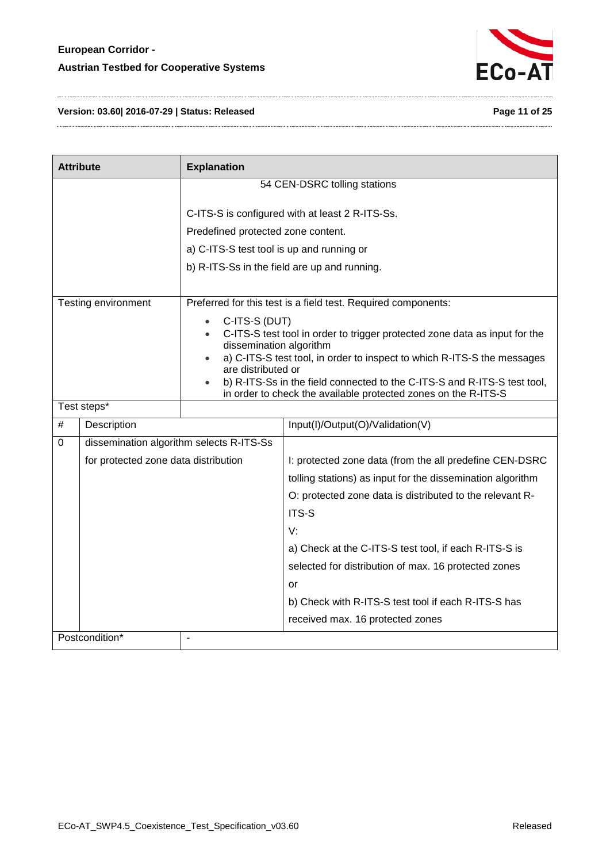

#### **Version: 03.60| 2016-07-29 | Status: Released Page 11 of 25**

| <b>Attribute</b> |                                          | <b>Explanation</b>                                                                                                                         |                                                                            |  |
|------------------|------------------------------------------|--------------------------------------------------------------------------------------------------------------------------------------------|----------------------------------------------------------------------------|--|
|                  |                                          |                                                                                                                                            | 54 CEN-DSRC tolling stations                                               |  |
|                  |                                          |                                                                                                                                            |                                                                            |  |
|                  |                                          |                                                                                                                                            | C-ITS-S is configured with at least 2 R-ITS-Ss.                            |  |
|                  |                                          | Predefined protected zone content.                                                                                                         |                                                                            |  |
|                  |                                          | a) C-ITS-S test tool is up and running or                                                                                                  |                                                                            |  |
|                  |                                          |                                                                                                                                            | b) R-ITS-Ss in the field are up and running.                               |  |
|                  |                                          |                                                                                                                                            |                                                                            |  |
|                  | Testing environment                      |                                                                                                                                            | Preferred for this test is a field test. Required components:              |  |
|                  |                                          | C-ITS-S (DUT)<br>$\bullet$                                                                                                                 |                                                                            |  |
|                  |                                          | dissemination algorithm                                                                                                                    | C-ITS-S test tool in order to trigger protected zone data as input for the |  |
|                  |                                          |                                                                                                                                            | a) C-ITS-S test tool, in order to inspect to which R-ITS-S the messages    |  |
|                  |                                          | are distributed or                                                                                                                         |                                                                            |  |
|                  |                                          | b) R-ITS-Ss in the field connected to the C-ITS-S and R-ITS-S test tool,<br>in order to check the available protected zones on the R-ITS-S |                                                                            |  |
|                  | Test steps*                              |                                                                                                                                            |                                                                            |  |
| #                | Description                              |                                                                                                                                            | Input(I)/Output(O)/Validation(V)                                           |  |
| 0                | dissemination algorithm selects R-ITS-Ss |                                                                                                                                            |                                                                            |  |
|                  | for protected zone data distribution     |                                                                                                                                            | I: protected zone data (from the all predefine CEN-DSRC                    |  |
|                  |                                          |                                                                                                                                            | tolling stations) as input for the dissemination algorithm                 |  |
|                  |                                          |                                                                                                                                            | O: protected zone data is distributed to the relevant R-                   |  |
|                  |                                          |                                                                                                                                            | ITS-S                                                                      |  |
|                  |                                          |                                                                                                                                            | V:                                                                         |  |
|                  |                                          |                                                                                                                                            | a) Check at the C-ITS-S test tool, if each R-ITS-S is                      |  |
|                  |                                          |                                                                                                                                            | selected for distribution of max. 16 protected zones                       |  |
|                  |                                          |                                                                                                                                            | or                                                                         |  |
|                  |                                          |                                                                                                                                            | b) Check with R-ITS-S test tool if each R-ITS-S has                        |  |
|                  |                                          |                                                                                                                                            | received max. 16 protected zones                                           |  |
|                  | Postcondition*                           |                                                                                                                                            |                                                                            |  |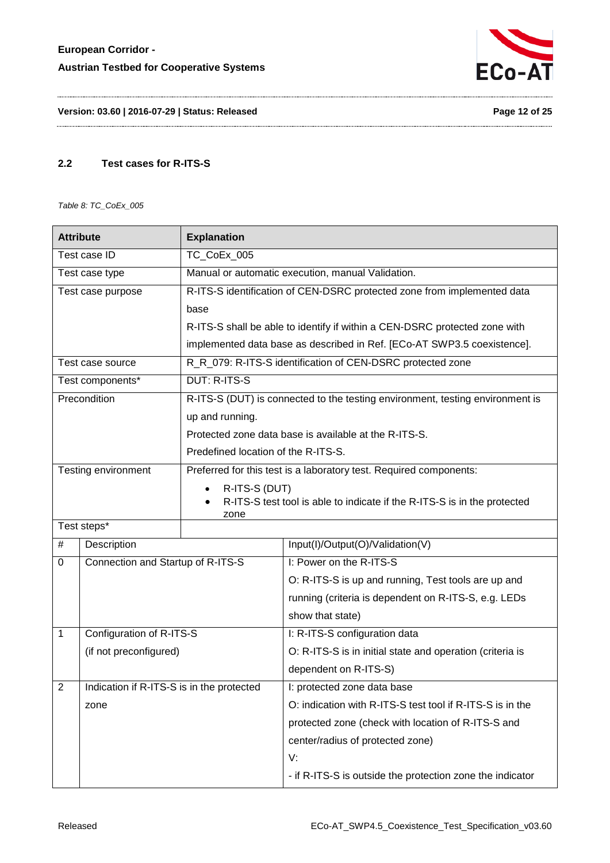

**Version: 03.60 | 2016-07-29 | Status: Released Page 12 of 25**

#### <span id="page-11-0"></span>**2.2 Test cases for R-ITS-S**

<span id="page-11-1"></span>*Table 8: TC\_CoEx\_005*

| <b>Attribute</b>            |                                           | <b>Explanation</b>                                                 |                                                                               |
|-----------------------------|-------------------------------------------|--------------------------------------------------------------------|-------------------------------------------------------------------------------|
| Test case ID<br>TC CoEx 005 |                                           |                                                                    |                                                                               |
| Test case type              |                                           |                                                                    | Manual or automatic execution, manual Validation.                             |
|                             | Test case purpose                         |                                                                    | R-ITS-S identification of CEN-DSRC protected zone from implemented data       |
|                             |                                           | base                                                               |                                                                               |
|                             |                                           |                                                                    | R-ITS-S shall be able to identify if within a CEN-DSRC protected zone with    |
|                             |                                           |                                                                    | implemented data base as described in Ref. [ECo-AT SWP3.5 coexistence].       |
|                             | Test case source                          |                                                                    | R_R_079: R-ITS-S identification of CEN-DSRC protected zone                    |
|                             | Test components*                          | <b>DUT: R-ITS-S</b>                                                |                                                                               |
|                             | Precondition                              |                                                                    | R-ITS-S (DUT) is connected to the testing environment, testing environment is |
|                             |                                           | up and running.                                                    |                                                                               |
|                             |                                           |                                                                    | Protected zone data base is available at the R-ITS-S.                         |
|                             |                                           | Predefined location of the R-ITS-S.                                |                                                                               |
|                             | Testing environment                       | Preferred for this test is a laboratory test. Required components: |                                                                               |
|                             |                                           | R-ITS-S (DUT)                                                      |                                                                               |
|                             |                                           | zone                                                               | R-ITS-S test tool is able to indicate if the R-ITS-S is in the protected      |
| Test steps*                 |                                           |                                                                    |                                                                               |
| #                           | Description                               |                                                                    | Input(I)/Output(O)/Validation(V)                                              |
| 0                           | Connection and Startup of R-ITS-S         |                                                                    | I: Power on the R-ITS-S                                                       |
|                             |                                           |                                                                    | O: R-ITS-S is up and running, Test tools are up and                           |
|                             |                                           |                                                                    | running (criteria is dependent on R-ITS-S, e.g. LEDs                          |
|                             |                                           |                                                                    | show that state)                                                              |
| 1                           | Configuration of R-ITS-S                  |                                                                    | I: R-ITS-S configuration data                                                 |
|                             | (if not preconfigured)                    |                                                                    | O: R-ITS-S is in initial state and operation (criteria is                     |
|                             |                                           |                                                                    | dependent on R-ITS-S)                                                         |
| 2                           | Indication if R-ITS-S is in the protected |                                                                    | I: protected zone data base                                                   |
|                             | zone                                      |                                                                    | O: indication with R-ITS-S test tool if R-ITS-S is in the                     |
|                             |                                           |                                                                    | protected zone (check with location of R-ITS-S and                            |
|                             |                                           |                                                                    | center/radius of protected zone)                                              |
|                             |                                           |                                                                    | V:                                                                            |
|                             |                                           |                                                                    | - if R-ITS-S is outside the protection zone the indicator                     |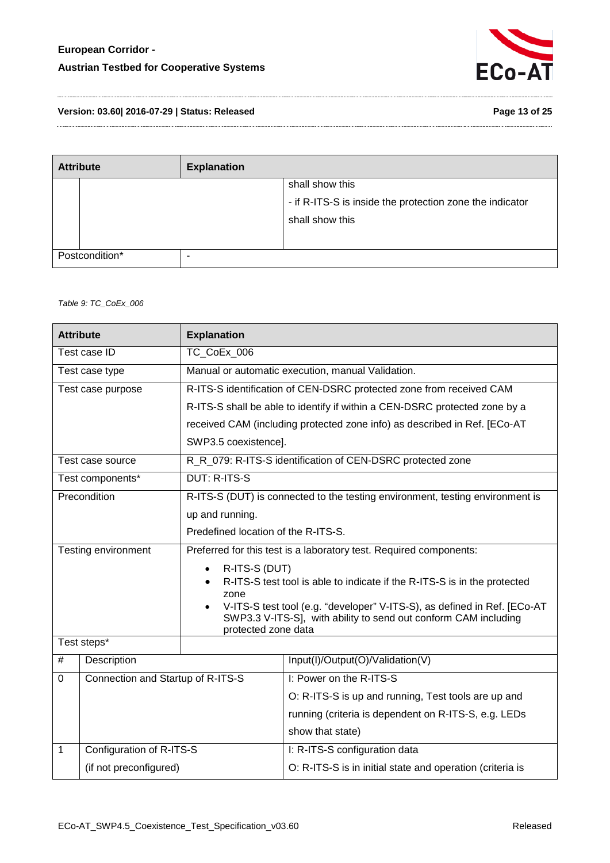

**Version: 03.60| 2016-07-29 | Status: Released Page 13 of 25**

| <b>Attribute</b> |  | <b>Explanation</b> |                                                          |
|------------------|--|--------------------|----------------------------------------------------------|
|                  |  |                    | shall show this                                          |
|                  |  |                    | - if R-ITS-S is inside the protection zone the indicator |
|                  |  |                    | shall show this                                          |
|                  |  |                    |                                                          |
| Postcondition*   |  | -                  |                                                          |

#### <span id="page-12-0"></span>*Table 9: TC\_CoEx\_006*

| <b>Attribute</b>            |                                   | <b>Explanation</b>                                                                     |                                                                               |  |
|-----------------------------|-----------------------------------|----------------------------------------------------------------------------------------|-------------------------------------------------------------------------------|--|
| TC CoEx 006<br>Test case ID |                                   |                                                                                        |                                                                               |  |
|                             | Test case type                    |                                                                                        | Manual or automatic execution, manual Validation.                             |  |
|                             | Test case purpose                 |                                                                                        | R-ITS-S identification of CEN-DSRC protected zone from received CAM           |  |
|                             |                                   |                                                                                        | R-ITS-S shall be able to identify if within a CEN-DSRC protected zone by a    |  |
|                             |                                   |                                                                                        | received CAM (including protected zone info) as described in Ref. [ECo-AT     |  |
|                             |                                   | SWP3.5 coexistence].                                                                   |                                                                               |  |
|                             | Test case source                  |                                                                                        | R_R_079: R-ITS-S identification of CEN-DSRC protected zone                    |  |
|                             | Test components*                  | <b>DUT: R-ITS-S</b>                                                                    |                                                                               |  |
|                             | Precondition                      |                                                                                        | R-ITS-S (DUT) is connected to the testing environment, testing environment is |  |
|                             |                                   | up and running.                                                                        |                                                                               |  |
|                             |                                   | Predefined location of the R-ITS-S.                                                    |                                                                               |  |
|                             | Testing environment               | Preferred for this test is a laboratory test. Required components:                     |                                                                               |  |
|                             |                                   | R-ITS-S (DUT)                                                                          |                                                                               |  |
|                             |                                   | zone                                                                                   | R-ITS-S test tool is able to indicate if the R-ITS-S is in the protected      |  |
|                             |                                   | V-ITS-S test tool (e.g. "developer" V-ITS-S), as defined in Ref. [ECo-AT               |                                                                               |  |
|                             |                                   | SWP3.3 V-ITS-S], with ability to send out conform CAM including<br>protected zone data |                                                                               |  |
|                             | Test steps*                       |                                                                                        |                                                                               |  |
| $\#$                        | Description                       |                                                                                        | Input(I)/Output(O)/Validation(V)                                              |  |
| $\mathbf 0$                 | Connection and Startup of R-ITS-S |                                                                                        | I: Power on the R-ITS-S                                                       |  |
|                             |                                   |                                                                                        | O: R-ITS-S is up and running, Test tools are up and                           |  |
|                             |                                   |                                                                                        | running (criteria is dependent on R-ITS-S, e.g. LEDs                          |  |
|                             |                                   |                                                                                        | show that state)                                                              |  |
| $\mathbf{1}$                | Configuration of R-ITS-S          |                                                                                        | I: R-ITS-S configuration data                                                 |  |
| (if not preconfigured)      |                                   |                                                                                        | O: R-ITS-S is in initial state and operation (criteria is                     |  |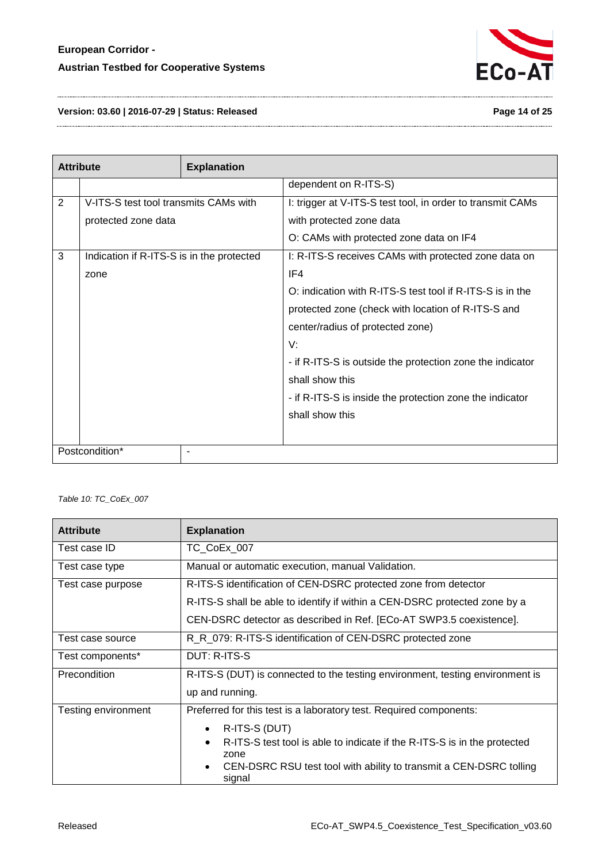

**Version: 03.60 | 2016-07-29 | Status: Released Page 14 of 25**

| <b>Attribute</b> |                                           | <b>Explanation</b> |                                                            |
|------------------|-------------------------------------------|--------------------|------------------------------------------------------------|
|                  |                                           |                    | dependent on R-ITS-S)                                      |
| $\overline{2}$   | V-ITS-S test tool transmits CAMs with     |                    | I: trigger at V-ITS-S test tool, in order to transmit CAMs |
|                  | protected zone data                       |                    | with protected zone data                                   |
|                  |                                           |                    | O: CAMs with protected zone data on IF4                    |
| 3                | Indication if R-ITS-S is in the protected |                    | I: R-ITS-S receives CAMs with protected zone data on       |
|                  | zone                                      |                    | IF4                                                        |
|                  |                                           |                    | O: indication with R-ITS-S test tool if R-ITS-S is in the  |
|                  |                                           |                    | protected zone (check with location of R-ITS-S and         |
|                  |                                           |                    | center/radius of protected zone)                           |
|                  |                                           |                    | V:                                                         |
|                  |                                           |                    | - if R-ITS-S is outside the protection zone the indicator  |
|                  |                                           |                    | shall show this                                            |
|                  |                                           |                    | - if R-ITS-S is inside the protection zone the indicator   |
|                  |                                           |                    | shall show this                                            |
|                  |                                           |                    |                                                            |
| Postcondition*   |                                           |                    |                                                            |

<span id="page-13-0"></span>*Table 10: TC\_CoEx\_007*

| <b>Attribute</b>    | <b>Explanation</b>                                                                    |  |  |
|---------------------|---------------------------------------------------------------------------------------|--|--|
| Test case ID        | TC CoEx 007                                                                           |  |  |
| Test case type      | Manual or automatic execution, manual Validation.                                     |  |  |
| Test case purpose   | R-ITS-S identification of CEN-DSRC protected zone from detector                       |  |  |
|                     | R-ITS-S shall be able to identify if within a CEN-DSRC protected zone by a            |  |  |
|                     | CEN-DSRC detector as described in Ref. [ECo-AT SWP3.5 coexistence].                   |  |  |
| Test case source    | R_R_079: R-ITS-S identification of CEN-DSRC protected zone                            |  |  |
| Test components*    | DUT: R-ITS-S                                                                          |  |  |
| Precondition        | R-ITS-S (DUT) is connected to the testing environment, testing environment is         |  |  |
|                     | up and running.                                                                       |  |  |
| Testing environment | Preferred for this test is a laboratory test. Required components:                    |  |  |
|                     | R-ITS-S (DUT)<br>$\bullet$                                                            |  |  |
|                     | R-ITS-S test tool is able to indicate if the R-ITS-S is in the protected<br>$\bullet$ |  |  |
|                     | zone<br>CEN-DSRC RSU test tool with ability to transmit a CEN-DSRC tolling<br>signal  |  |  |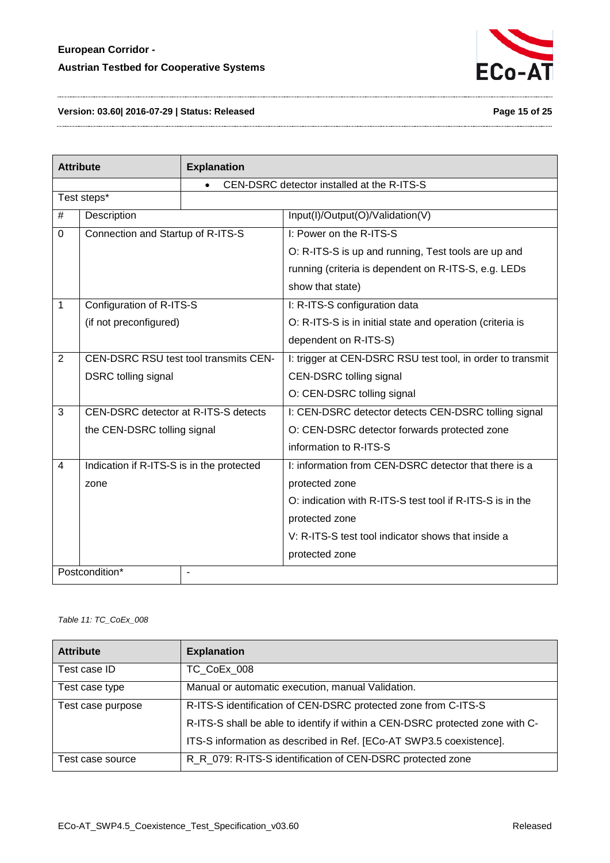

#### **Version: 03.60| 2016-07-29 | Status: Released Page 15 of 25**

| <b>Attribute</b> |                                              | <b>Explanation</b> |                                                            |  |
|------------------|----------------------------------------------|--------------------|------------------------------------------------------------|--|
|                  |                                              |                    | CEN-DSRC detector installed at the R-ITS-S                 |  |
|                  | Test steps*                                  |                    |                                                            |  |
| $\#$             | Description                                  |                    | Input(I)/Output(O)/Validation(V)                           |  |
| $\mathbf 0$      | Connection and Startup of R-ITS-S            |                    | I: Power on the R-ITS-S                                    |  |
|                  |                                              |                    | O: R-ITS-S is up and running, Test tools are up and        |  |
|                  |                                              |                    | running (criteria is dependent on R-ITS-S, e.g. LEDs       |  |
|                  |                                              |                    | show that state)                                           |  |
| 1                | Configuration of R-ITS-S                     |                    | I: R-ITS-S configuration data                              |  |
|                  | (if not preconfigured)                       |                    | O: R-ITS-S is in initial state and operation (criteria is  |  |
|                  |                                              |                    | dependent on R-ITS-S)                                      |  |
| $\overline{2}$   | <b>CEN-DSRC RSU test tool transmits CEN-</b> |                    | I: trigger at CEN-DSRC RSU test tool, in order to transmit |  |
|                  | <b>DSRC</b> tolling signal                   |                    | <b>CEN-DSRC tolling signal</b>                             |  |
|                  |                                              |                    | O: CEN-DSRC tolling signal                                 |  |
| 3                | CEN-DSRC detector at R-ITS-S detects         |                    | I: CEN-DSRC detector detects CEN-DSRC tolling signal       |  |
|                  | the CEN-DSRC tolling signal                  |                    | O: CEN-DSRC detector forwards protected zone               |  |
|                  |                                              |                    | information to R-ITS-S                                     |  |
| 4                | Indication if R-ITS-S is in the protected    |                    | I: information from CEN-DSRC detector that there is a      |  |
|                  | zone                                         |                    | protected zone                                             |  |
|                  |                                              |                    | O: indication with R-ITS-S test tool if R-ITS-S is in the  |  |
|                  |                                              |                    | protected zone                                             |  |
|                  |                                              |                    | V: R-ITS-S test tool indicator shows that inside a         |  |
|                  |                                              |                    | protected zone                                             |  |
|                  | Postcondition*                               |                    |                                                            |  |

#### <span id="page-14-0"></span>*Table 11: TC\_CoEx\_008*

| <b>Attribute</b>  | <b>Explanation</b>                                                            |
|-------------------|-------------------------------------------------------------------------------|
| Test case ID      | TC CoEx 008                                                                   |
| Test case type    | Manual or automatic execution, manual Validation.                             |
| Test case purpose | R-ITS-S identification of CEN-DSRC protected zone from C-ITS-S                |
|                   | R-ITS-S shall be able to identify if within a CEN-DSRC protected zone with C- |
|                   | ITS-S information as described in Ref. [ECo-AT SWP3.5 coexistence].           |
| Test case source  | R_R_079: R-ITS-S identification of CEN-DSRC protected zone                    |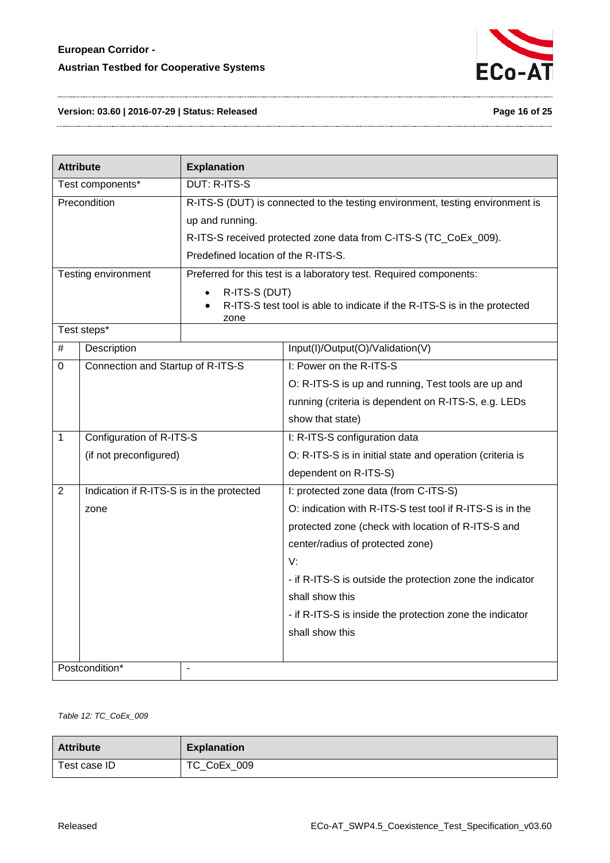

#### **Version: 03.60 | 2016-07-29 | Status: Released Page 16 of 25**

| <b>Attribute</b>                 |                                           | <b>Explanation</b>                                                                                |                                                                               |  |
|----------------------------------|-------------------------------------------|---------------------------------------------------------------------------------------------------|-------------------------------------------------------------------------------|--|
| Test components*                 |                                           | <b>DUT: R-ITS-S</b>                                                                               |                                                                               |  |
|                                  | Precondition                              |                                                                                                   | R-ITS-S (DUT) is connected to the testing environment, testing environment is |  |
|                                  |                                           | up and running.                                                                                   |                                                                               |  |
|                                  |                                           |                                                                                                   | R-ITS-S received protected zone data from C-ITS-S (TC_CoEx_009).              |  |
|                                  |                                           | Predefined location of the R-ITS-S.                                                               |                                                                               |  |
|                                  | Testing environment                       |                                                                                                   | Preferred for this test is a laboratory test. Required components:            |  |
|                                  |                                           | R-ITS-S (DUT)<br>R-ITS-S test tool is able to indicate if the R-ITS-S is in the protected<br>zone |                                                                               |  |
|                                  | Test steps*                               |                                                                                                   |                                                                               |  |
| $\#$                             | Description                               |                                                                                                   | Input(I)/Output(O)/Validation(V)                                              |  |
| 0                                | Connection and Startup of R-ITS-S         |                                                                                                   | I: Power on the R-ITS-S                                                       |  |
|                                  |                                           |                                                                                                   | O: R-ITS-S is up and running, Test tools are up and                           |  |
|                                  |                                           |                                                                                                   | running (criteria is dependent on R-ITS-S, e.g. LEDs                          |  |
|                                  |                                           |                                                                                                   | show that state)                                                              |  |
| 1                                | Configuration of R-ITS-S                  |                                                                                                   | I: R-ITS-S configuration data                                                 |  |
|                                  | (if not preconfigured)                    |                                                                                                   | O: R-ITS-S is in initial state and operation (criteria is                     |  |
|                                  |                                           |                                                                                                   | dependent on R-ITS-S)                                                         |  |
| 2                                | Indication if R-ITS-S is in the protected |                                                                                                   | I: protected zone data (from C-ITS-S)                                         |  |
|                                  | zone                                      |                                                                                                   | O: indication with R-ITS-S test tool if R-ITS-S is in the                     |  |
|                                  |                                           |                                                                                                   | protected zone (check with location of R-ITS-S and                            |  |
|                                  |                                           |                                                                                                   | center/radius of protected zone)                                              |  |
|                                  |                                           |                                                                                                   | V:                                                                            |  |
|                                  |                                           |                                                                                                   | - if R-ITS-S is outside the protection zone the indicator                     |  |
|                                  |                                           |                                                                                                   | shall show this                                                               |  |
|                                  |                                           |                                                                                                   | - if R-ITS-S is inside the protection zone the indicator                      |  |
|                                  |                                           |                                                                                                   | shall show this                                                               |  |
|                                  |                                           |                                                                                                   |                                                                               |  |
| Postcondition*<br>$\blacksquare$ |                                           |                                                                                                   |                                                                               |  |

<span id="page-15-0"></span>*Table 12: TC\_CoEx\_009*

| <b>Attribute</b> | <b>Explanation</b> |
|------------------|--------------------|
| Test case ID     | TC_CoEx_009        |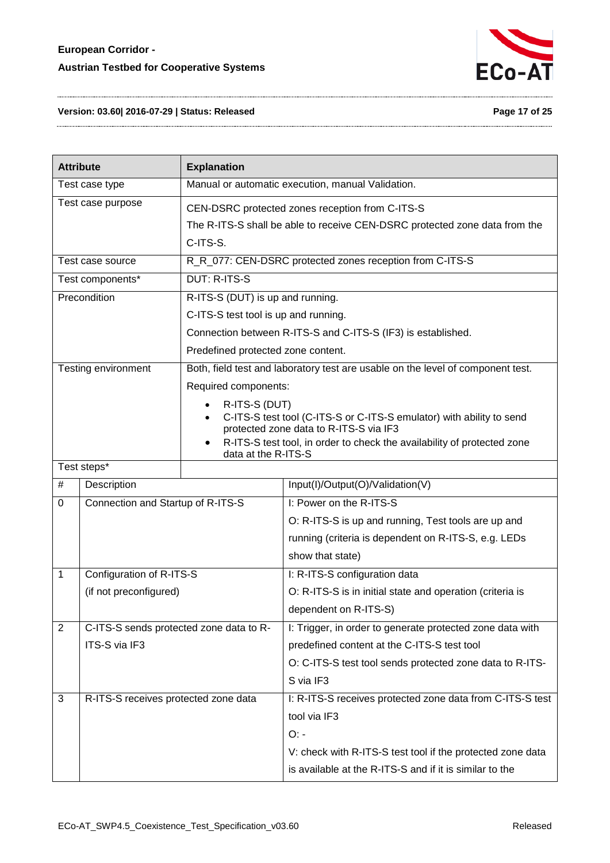

#### **Version: 03.60| 2016-07-29 | Status: Released Page 17 of 25**

| <b>Attribute</b>  |                                         | <b>Explanation</b>                                                                                                                                                                                                                |                                                                                 |  |
|-------------------|-----------------------------------------|-----------------------------------------------------------------------------------------------------------------------------------------------------------------------------------------------------------------------------------|---------------------------------------------------------------------------------|--|
|                   | Test case type                          |                                                                                                                                                                                                                                   | Manual or automatic execution, manual Validation.                               |  |
| Test case purpose |                                         | CEN-DSRC protected zones reception from C-ITS-S<br>The R-ITS-S shall be able to receive CEN-DSRC protected zone data from the<br>C-ITS-S.                                                                                         |                                                                                 |  |
|                   | Test case source                        |                                                                                                                                                                                                                                   | R_R_077: CEN-DSRC protected zones reception from C-ITS-S                        |  |
|                   | Test components*                        | <b>DUT: R-ITS-S</b>                                                                                                                                                                                                               |                                                                                 |  |
|                   | Precondition                            | R-ITS-S (DUT) is up and running.                                                                                                                                                                                                  |                                                                                 |  |
|                   |                                         | C-ITS-S test tool is up and running.                                                                                                                                                                                              |                                                                                 |  |
|                   |                                         |                                                                                                                                                                                                                                   | Connection between R-ITS-S and C-ITS-S (IF3) is established.                    |  |
|                   |                                         | Predefined protected zone content.                                                                                                                                                                                                |                                                                                 |  |
|                   | Testing environment                     |                                                                                                                                                                                                                                   | Both, field test and laboratory test are usable on the level of component test. |  |
|                   |                                         | Required components:                                                                                                                                                                                                              |                                                                                 |  |
|                   |                                         | R-ITS-S (DUT)<br>C-ITS-S test tool (C-ITS-S or C-ITS-S emulator) with ability to send<br>protected zone data to R-ITS-S via IF3<br>R-ITS-S test tool, in order to check the availability of protected zone<br>data at the R-ITS-S |                                                                                 |  |
|                   | Test steps*                             |                                                                                                                                                                                                                                   |                                                                                 |  |
| #                 | Description                             |                                                                                                                                                                                                                                   | Input(I)/Output(O)/Validation(V)                                                |  |
| $\mathbf 0$       | Connection and Startup of R-ITS-S       |                                                                                                                                                                                                                                   | I: Power on the R-ITS-S                                                         |  |
|                   |                                         |                                                                                                                                                                                                                                   | O: R-ITS-S is up and running, Test tools are up and                             |  |
|                   |                                         |                                                                                                                                                                                                                                   | running (criteria is dependent on R-ITS-S, e.g. LEDs                            |  |
|                   |                                         |                                                                                                                                                                                                                                   | show that state)                                                                |  |
| $\mathbf{1}$      | Configuration of R-ITS-S                |                                                                                                                                                                                                                                   | I: R-ITS-S configuration data                                                   |  |
|                   | (if not preconfigured)                  |                                                                                                                                                                                                                                   | O: R-ITS-S is in initial state and operation (criteria is                       |  |
|                   |                                         |                                                                                                                                                                                                                                   | dependent on R-ITS-S)                                                           |  |
| $\overline{2}$    | C-ITS-S sends protected zone data to R- |                                                                                                                                                                                                                                   | I: Trigger, in order to generate protected zone data with                       |  |
|                   | ITS-S via IF3                           |                                                                                                                                                                                                                                   | predefined content at the C-ITS-S test tool                                     |  |
|                   |                                         |                                                                                                                                                                                                                                   | O: C-ITS-S test tool sends protected zone data to R-ITS-                        |  |
|                   |                                         |                                                                                                                                                                                                                                   | S via IF3                                                                       |  |
| $\mathbf{3}$      | R-ITS-S receives protected zone data    |                                                                                                                                                                                                                                   | I: R-ITS-S receives protected zone data from C-ITS-S test                       |  |
|                   |                                         |                                                                                                                                                                                                                                   | tool via IF3                                                                    |  |
|                   |                                         |                                                                                                                                                                                                                                   | $O: -$                                                                          |  |
|                   |                                         |                                                                                                                                                                                                                                   | V: check with R-ITS-S test tool if the protected zone data                      |  |
|                   |                                         |                                                                                                                                                                                                                                   | is available at the R-ITS-S and if it is similar to the                         |  |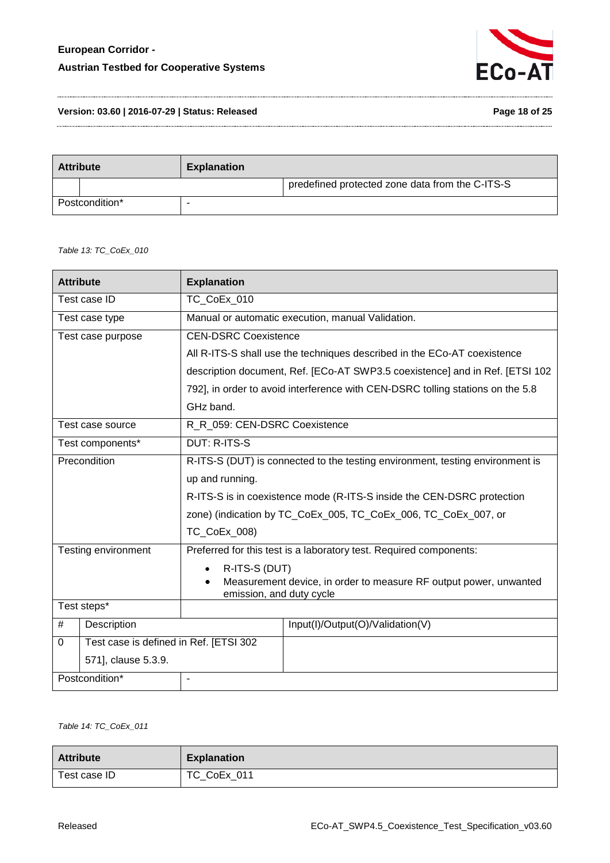

**Version: 03.60 | 2016-07-29 | Status: Released Page 18 of 25**

| <b>Attribute</b> |  | <b>Explanation</b> |                                                 |
|------------------|--|--------------------|-------------------------------------------------|
|                  |  |                    | predefined protected zone data from the C-ITS-S |
| Postcondition*   |  |                    |                                                 |

<span id="page-17-0"></span>*Table 13: TC\_CoEx\_010*

| <b>Explanation</b>                                                                            |                                                                                |  |
|-----------------------------------------------------------------------------------------------|--------------------------------------------------------------------------------|--|
| TC_CoEx_010                                                                                   |                                                                                |  |
|                                                                                               | Manual or automatic execution, manual Validation.                              |  |
| <b>CEN-DSRC Coexistence</b>                                                                   |                                                                                |  |
|                                                                                               | All R-ITS-S shall use the techniques described in the ECo-AT coexistence       |  |
|                                                                                               | description document, Ref. [ECo-AT SWP3.5 coexistence] and in Ref. [ETSI 102   |  |
|                                                                                               | 792], in order to avoid interference with CEN-DSRC tolling stations on the 5.8 |  |
| GHz band.                                                                                     |                                                                                |  |
| R_R_059: CEN-DSRC Coexistence                                                                 |                                                                                |  |
| <b>DUT: R-ITS-S</b>                                                                           |                                                                                |  |
| R-ITS-S (DUT) is connected to the testing environment, testing environment is                 |                                                                                |  |
| up and running.                                                                               |                                                                                |  |
| R-ITS-S is in coexistence mode (R-ITS-S inside the CEN-DSRC protection                        |                                                                                |  |
| zone) (indication by TC_CoEx_005, TC_CoEx_006, TC_CoEx_007, or                                |                                                                                |  |
| TC_CoEx_008)                                                                                  |                                                                                |  |
| Preferred for this test is a laboratory test. Required components:                            |                                                                                |  |
| R-ITS-S (DUT)                                                                                 |                                                                                |  |
| Measurement device, in order to measure RF output power, unwanted<br>emission, and duty cycle |                                                                                |  |
|                                                                                               |                                                                                |  |
|                                                                                               | Input(I)/Output(O)/Validation(V)                                               |  |
| Test case is defined in Ref. [ETSI 302                                                        |                                                                                |  |
|                                                                                               |                                                                                |  |
| ä,                                                                                            |                                                                                |  |
|                                                                                               |                                                                                |  |

<span id="page-17-1"></span>*Table 14: TC\_CoEx\_011*

| <b>Attribute</b> | <b>Explanation</b> |
|------------------|--------------------|
| Test case ID     | TC CoEx 011        |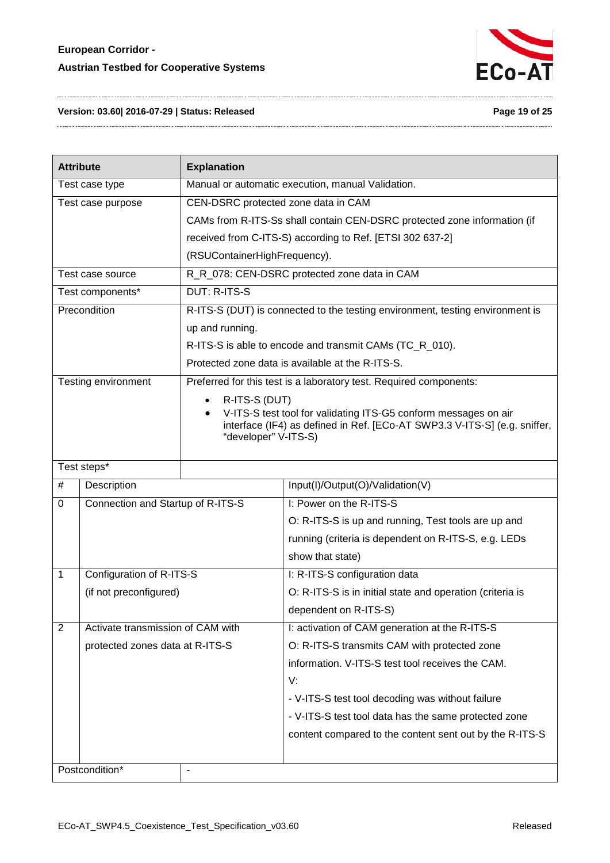

#### **Version: 03.60| 2016-07-29 | Status: Released Page 19 of 25**

| <b>Attribute</b>  |                                   | <b>Explanation</b>                                |                                                                               |  |
|-------------------|-----------------------------------|---------------------------------------------------|-------------------------------------------------------------------------------|--|
| Test case type    |                                   | Manual or automatic execution, manual Validation. |                                                                               |  |
| Test case purpose |                                   | CEN-DSRC protected zone data in CAM               |                                                                               |  |
|                   |                                   |                                                   | CAMs from R-ITS-Ss shall contain CEN-DSRC protected zone information (if      |  |
|                   |                                   |                                                   | received from C-ITS-S) according to Ref. [ETSI 302 637-2]                     |  |
|                   |                                   | (RSUContainerHighFrequency).                      |                                                                               |  |
|                   | Test case source                  |                                                   | R_R_078: CEN-DSRC protected zone data in CAM                                  |  |
|                   | Test components*                  | <b>DUT: R-ITS-S</b>                               |                                                                               |  |
|                   | Precondition                      |                                                   | R-ITS-S (DUT) is connected to the testing environment, testing environment is |  |
|                   |                                   | up and running.                                   |                                                                               |  |
|                   |                                   |                                                   | R-ITS-S is able to encode and transmit CAMs (TC_R_010).                       |  |
|                   |                                   |                                                   | Protected zone data is available at the R-ITS-S.                              |  |
|                   | Testing environment               |                                                   | Preferred for this test is a laboratory test. Required components:            |  |
|                   |                                   | R-ITS-S (DUT)                                     |                                                                               |  |
|                   |                                   |                                                   | V-ITS-S test tool for validating ITS-G5 conform messages on air               |  |
|                   |                                   | "developer" V-ITS-S)                              | interface (IF4) as defined in Ref. [ECo-AT SWP3.3 V-ITS-S] (e.g. sniffer,     |  |
|                   |                                   |                                                   |                                                                               |  |
|                   | Test steps*                       |                                                   |                                                                               |  |
| #                 | Description                       |                                                   | Input(I)/Output(O)/Validation(V)                                              |  |
| 0                 | Connection and Startup of R-ITS-S |                                                   | I: Power on the R-ITS-S                                                       |  |
|                   |                                   |                                                   | O: R-ITS-S is up and running, Test tools are up and                           |  |
|                   |                                   |                                                   | running (criteria is dependent on R-ITS-S, e.g. LEDs                          |  |
|                   |                                   |                                                   | show that state)                                                              |  |
| 1                 | Configuration of R-ITS-S          |                                                   | I: R-ITS-S configuration data                                                 |  |
|                   | (if not preconfigured)            |                                                   | O: R-ITS-S is in initial state and operation (criteria is                     |  |
|                   |                                   |                                                   | dependent on R-ITS-S)                                                         |  |
| $\overline{2}$    | Activate transmission of CAM with |                                                   | I: activation of CAM generation at the R-ITS-S                                |  |
|                   | protected zones data at R-ITS-S   |                                                   | O: R-ITS-S transmits CAM with protected zone                                  |  |
|                   |                                   |                                                   | information. V-ITS-S test tool receives the CAM.                              |  |
|                   |                                   |                                                   | V:                                                                            |  |
|                   |                                   |                                                   | - V-ITS-S test tool decoding was without failure                              |  |
|                   |                                   |                                                   | - V-ITS-S test tool data has the same protected zone                          |  |
|                   |                                   |                                                   | content compared to the content sent out by the R-ITS-S                       |  |
|                   |                                   |                                                   |                                                                               |  |
|                   | Postcondition*                    | $\overline{\phantom{a}}$                          |                                                                               |  |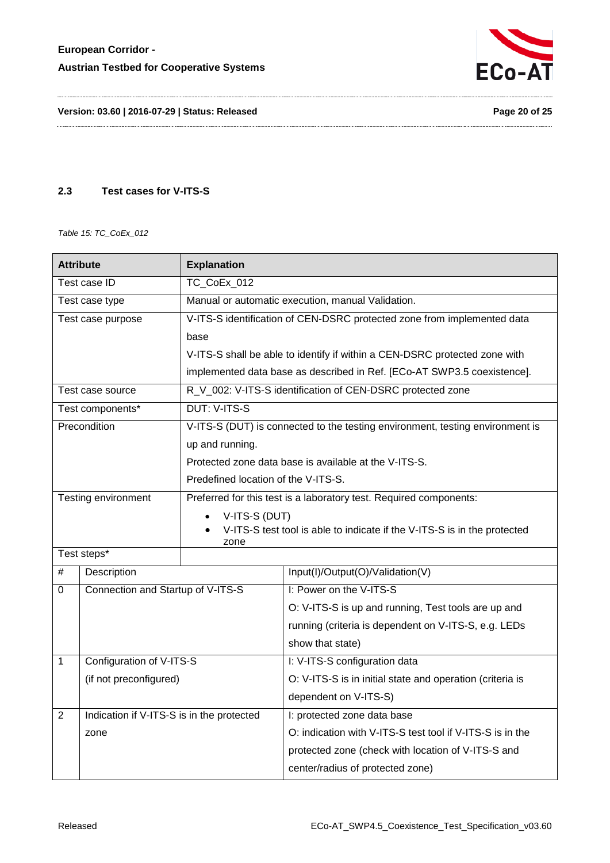

**Version: 03.60 | 2016-07-29 | Status: Released Page 20 of 25**

#### <span id="page-19-0"></span>**2.3 Test cases for V-ITS-S**

<span id="page-19-1"></span>*Table 15: TC\_CoEx\_012*

| <b>Attribute</b>                                            |                                   | <b>Explanation</b>                                                               |                                                                               |  |
|-------------------------------------------------------------|-----------------------------------|----------------------------------------------------------------------------------|-------------------------------------------------------------------------------|--|
| TC_CoEx_012<br>Test case ID                                 |                                   |                                                                                  |                                                                               |  |
| Test case type                                              |                                   |                                                                                  | Manual or automatic execution, manual Validation.                             |  |
|                                                             | Test case purpose                 |                                                                                  | V-ITS-S identification of CEN-DSRC protected zone from implemented data       |  |
|                                                             |                                   | base                                                                             |                                                                               |  |
|                                                             |                                   |                                                                                  | V-ITS-S shall be able to identify if within a CEN-DSRC protected zone with    |  |
|                                                             |                                   |                                                                                  | implemented data base as described in Ref. [ECo-AT SWP3.5 coexistence].       |  |
|                                                             | Test case source                  |                                                                                  | R_V_002: V-ITS-S identification of CEN-DSRC protected zone                    |  |
|                                                             | Test components*                  | <b>DUT: V-ITS-S</b>                                                              |                                                                               |  |
|                                                             | Precondition                      |                                                                                  | V-ITS-S (DUT) is connected to the testing environment, testing environment is |  |
|                                                             |                                   | up and running.                                                                  |                                                                               |  |
|                                                             |                                   |                                                                                  | Protected zone data base is available at the V-ITS-S.                         |  |
|                                                             |                                   | Predefined location of the V-ITS-S.                                              |                                                                               |  |
|                                                             | Testing environment               | Preferred for this test is a laboratory test. Required components:               |                                                                               |  |
|                                                             |                                   | V-ITS-S (DUT)                                                                    |                                                                               |  |
|                                                             |                                   | V-ITS-S test tool is able to indicate if the V-ITS-S is in the protected<br>zone |                                                                               |  |
| Test steps*                                                 |                                   |                                                                                  |                                                                               |  |
| $\#$                                                        | Description                       |                                                                                  | Input(I)/Output(O)/Validation(V)                                              |  |
| $\mathbf 0$                                                 | Connection and Startup of V-ITS-S |                                                                                  | I: Power on the V-ITS-S                                                       |  |
|                                                             |                                   |                                                                                  | O: V-ITS-S is up and running, Test tools are up and                           |  |
|                                                             |                                   |                                                                                  | running (criteria is dependent on V-ITS-S, e.g. LEDs                          |  |
|                                                             |                                   |                                                                                  | show that state)                                                              |  |
| $\mathbf{1}$                                                | Configuration of V-ITS-S          |                                                                                  | I: V-ITS-S configuration data                                                 |  |
| (if not preconfigured)                                      |                                   |                                                                                  | O: V-ITS-S is in initial state and operation (criteria is                     |  |
|                                                             |                                   |                                                                                  | dependent on V-ITS-S)                                                         |  |
| Indication if V-ITS-S is in the protected<br>$\overline{2}$ |                                   |                                                                                  | I: protected zone data base                                                   |  |
|                                                             | zone                              |                                                                                  | O: indication with V-ITS-S test tool if V-ITS-S is in the                     |  |
|                                                             |                                   |                                                                                  | protected zone (check with location of V-ITS-S and                            |  |
|                                                             |                                   |                                                                                  | center/radius of protected zone)                                              |  |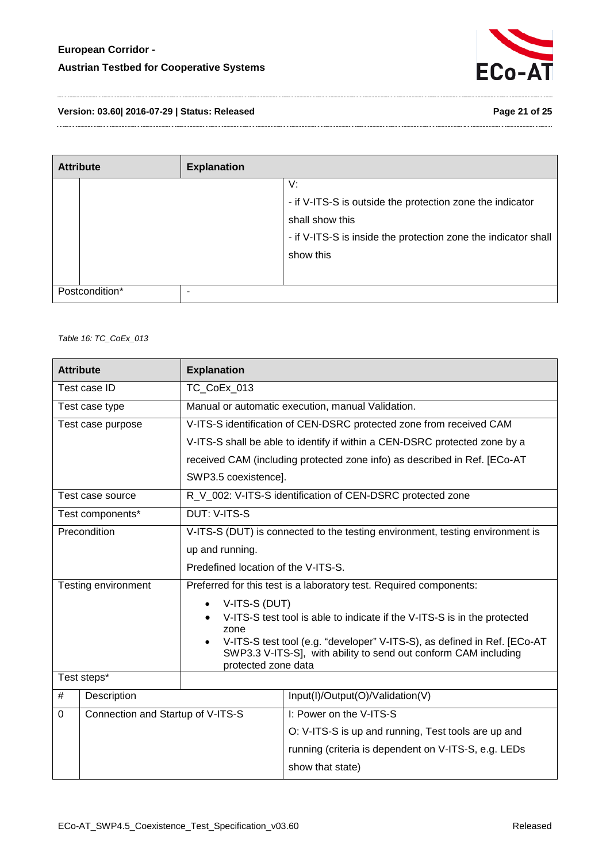

**Version: 03.60| 2016-07-29 | Status: Released Page 21 of 25**

| <b>Attribute</b> |  | <b>Explanation</b> |                                                                                                                                                                   |
|------------------|--|--------------------|-------------------------------------------------------------------------------------------------------------------------------------------------------------------|
|                  |  |                    | V:<br>- if V-ITS-S is outside the protection zone the indicator<br>shall show this<br>- if V-ITS-S is inside the protection zone the indicator shall<br>show this |
| Postcondition*   |  | -                  |                                                                                                                                                                   |

<span id="page-20-0"></span>*Table 16: TC\_CoEx\_013*

| <b>Attribute</b> |                                   | <b>Explanation</b>                                                                                                                                                 |                                                                               |  |
|------------------|-----------------------------------|--------------------------------------------------------------------------------------------------------------------------------------------------------------------|-------------------------------------------------------------------------------|--|
|                  | Test case ID<br>TC_CoEx_013       |                                                                                                                                                                    |                                                                               |  |
|                  | Test case type                    |                                                                                                                                                                    | Manual or automatic execution, manual Validation.                             |  |
|                  | Test case purpose                 |                                                                                                                                                                    | V-ITS-S identification of CEN-DSRC protected zone from received CAM           |  |
|                  |                                   |                                                                                                                                                                    | V-ITS-S shall be able to identify if within a CEN-DSRC protected zone by a    |  |
|                  |                                   |                                                                                                                                                                    | received CAM (including protected zone info) as described in Ref. [ECo-AT     |  |
|                  |                                   | SWP3.5 coexistence].                                                                                                                                               |                                                                               |  |
|                  | Test case source                  |                                                                                                                                                                    | R_V_002: V-ITS-S identification of CEN-DSRC protected zone                    |  |
|                  | Test components*                  | <b>DUT: V-ITS-S</b>                                                                                                                                                |                                                                               |  |
|                  | Precondition                      |                                                                                                                                                                    | V-ITS-S (DUT) is connected to the testing environment, testing environment is |  |
|                  |                                   | up and running.                                                                                                                                                    |                                                                               |  |
|                  |                                   | Predefined location of the V-ITS-S.                                                                                                                                |                                                                               |  |
|                  | Testing environment               | Preferred for this test is a laboratory test. Required components:                                                                                                 |                                                                               |  |
|                  |                                   | V-ITS-S (DUT)                                                                                                                                                      |                                                                               |  |
|                  |                                   | V-ITS-S test tool is able to indicate if the V-ITS-S is in the protected<br>zone                                                                                   |                                                                               |  |
|                  |                                   | V-ITS-S test tool (e.g. "developer" V-ITS-S), as defined in Ref. [ECo-AT<br>SWP3.3 V-ITS-S], with ability to send out conform CAM including<br>protected zone data |                                                                               |  |
|                  | Test steps*                       |                                                                                                                                                                    |                                                                               |  |
| #                | Description                       |                                                                                                                                                                    | Input(I)/Output(O)/Validation(V)                                              |  |
| 0                | Connection and Startup of V-ITS-S |                                                                                                                                                                    | I: Power on the V-ITS-S                                                       |  |
|                  |                                   |                                                                                                                                                                    | O: V-ITS-S is up and running, Test tools are up and                           |  |
|                  |                                   |                                                                                                                                                                    | running (criteria is dependent on V-ITS-S, e.g. LEDs                          |  |
|                  |                                   |                                                                                                                                                                    | show that state)                                                              |  |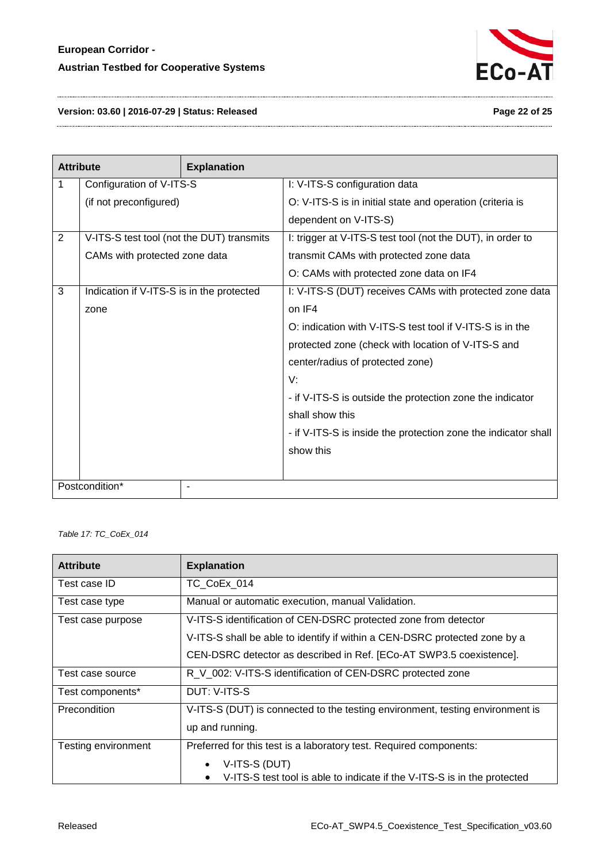

**Version: 03.60 | 2016-07-29 | Status: Released Page 22 of 25**

| <b>Attribute</b>    |                                           | <b>Explanation</b> |                                                                |
|---------------------|-------------------------------------------|--------------------|----------------------------------------------------------------|
| 1                   | Configuration of V-ITS-S                  |                    | I: V-ITS-S configuration data                                  |
|                     | (if not preconfigured)                    |                    | O: V-ITS-S is in initial state and operation (criteria is      |
|                     |                                           |                    | dependent on V-ITS-S)                                          |
| 2                   | V-ITS-S test tool (not the DUT) transmits |                    | I: trigger at V-ITS-S test tool (not the DUT), in order to     |
|                     | CAMs with protected zone data             |                    | transmit CAMs with protected zone data                         |
|                     |                                           |                    | O: CAMs with protected zone data on IF4                        |
| 3                   | Indication if V-ITS-S is in the protected |                    | I: V-ITS-S (DUT) receives CAMs with protected zone data        |
|                     | zone                                      |                    | on IF4                                                         |
|                     |                                           |                    | O: indication with V-ITS-S test tool if V-ITS-S is in the      |
|                     |                                           |                    | protected zone (check with location of V-ITS-S and             |
|                     |                                           |                    | center/radius of protected zone)                               |
|                     |                                           |                    | V:                                                             |
|                     |                                           |                    | - if V-ITS-S is outside the protection zone the indicator      |
|                     |                                           |                    | shall show this                                                |
|                     |                                           |                    | - if V-ITS-S is inside the protection zone the indicator shall |
|                     |                                           |                    | show this                                                      |
|                     |                                           |                    |                                                                |
| Postcondition*<br>۰ |                                           |                    |                                                                |

<span id="page-21-0"></span>*Table 17: TC\_CoEx\_014*

| <b>Attribute</b>    | <b>Explanation</b>                                                            |  |  |
|---------------------|-------------------------------------------------------------------------------|--|--|
| Test case ID        | TC CoEx 014                                                                   |  |  |
| Test case type      | Manual or automatic execution, manual Validation.                             |  |  |
| Test case purpose   | V-ITS-S identification of CEN-DSRC protected zone from detector               |  |  |
|                     | V-ITS-S shall be able to identify if within a CEN-DSRC protected zone by a    |  |  |
|                     | CEN-DSRC detector as described in Ref. [ECo-AT SWP3.5 coexistence].           |  |  |
| Test case source    | R_V_002: V-ITS-S identification of CEN-DSRC protected zone                    |  |  |
| Test components*    | DUT: V-ITS-S                                                                  |  |  |
| Precondition        | V-ITS-S (DUT) is connected to the testing environment, testing environment is |  |  |
|                     | up and running.                                                               |  |  |
| Testing environment | Preferred for this test is a laboratory test. Required components:            |  |  |
|                     | V-ITS-S (DUT)                                                                 |  |  |
|                     | V-ITS-S test tool is able to indicate if the V-ITS-S is in the protected      |  |  |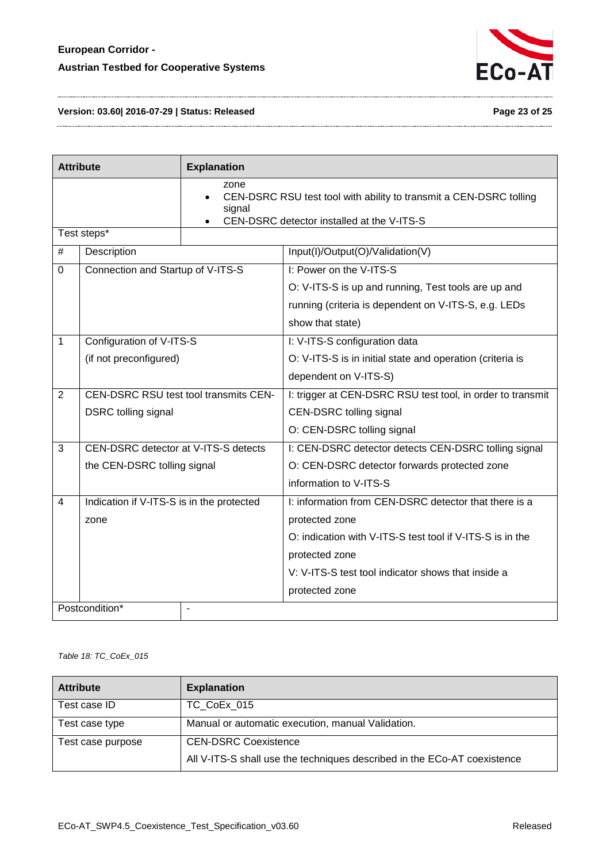

#### **Version: 03.60| 2016-07-29 | Status: Released Page 23 of 25**

| <b>Attribute</b> |                                              | <b>Explanation</b> |                                                                                                                  |
|------------------|----------------------------------------------|--------------------|------------------------------------------------------------------------------------------------------------------|
|                  |                                              | zone<br>signal     | CEN-DSRC RSU test tool with ability to transmit a CEN-DSRC tolling<br>CEN-DSRC detector installed at the V-ITS-S |
|                  | Test steps*                                  |                    |                                                                                                                  |
| #                | Description                                  |                    | Input(I)/Output(O)/Validation(V)                                                                                 |
| $\Omega$         | Connection and Startup of V-ITS-S            |                    | I: Power on the V-ITS-S                                                                                          |
|                  |                                              |                    | O: V-ITS-S is up and running, Test tools are up and                                                              |
|                  |                                              |                    | running (criteria is dependent on V-ITS-S, e.g. LEDs                                                             |
|                  |                                              |                    | show that state)                                                                                                 |
| 1                | Configuration of V-ITS-S                     |                    | I: V-ITS-S configuration data                                                                                    |
|                  | (if not preconfigured)                       |                    | O: V-ITS-S is in initial state and operation (criteria is                                                        |
|                  |                                              |                    | dependent on V-ITS-S)                                                                                            |
| $\overline{2}$   | <b>CEN-DSRC RSU test tool transmits CEN-</b> |                    | I: trigger at CEN-DSRC RSU test tool, in order to transmit                                                       |
|                  | DSRC tolling signal                          |                    | CEN-DSRC tolling signal                                                                                          |
|                  |                                              |                    | O: CEN-DSRC tolling signal                                                                                       |
| 3                | CEN-DSRC detector at V-ITS-S detects         |                    | I: CEN-DSRC detector detects CEN-DSRC tolling signal                                                             |
|                  | the CEN-DSRC tolling signal                  |                    | O: CEN-DSRC detector forwards protected zone                                                                     |
|                  |                                              |                    | information to V-ITS-S                                                                                           |
| 4                | Indication if V-ITS-S is in the protected    |                    | I: information from CEN-DSRC detector that there is a                                                            |
|                  | zone                                         |                    | protected zone                                                                                                   |
|                  |                                              |                    | O: indication with V-ITS-S test tool if V-ITS-S is in the                                                        |
|                  |                                              |                    | protected zone                                                                                                   |
|                  |                                              |                    | V: V-ITS-S test tool indicator shows that inside a                                                               |
|                  |                                              |                    | protected zone                                                                                                   |
|                  | Postcondition*<br>$\overline{\phantom{a}}$   |                    |                                                                                                                  |

<span id="page-22-0"></span>*Table 18: TC\_CoEx\_015*

| <b>Attribute</b>  | <b>Explanation</b>                                                       |
|-------------------|--------------------------------------------------------------------------|
| Test case ID      | TC CoEx 015                                                              |
| Test case type    | Manual or automatic execution, manual Validation.                        |
| Test case purpose | <b>CEN-DSRC Coexistence</b>                                              |
|                   | All V-ITS-S shall use the techniques described in the ECo-AT coexistence |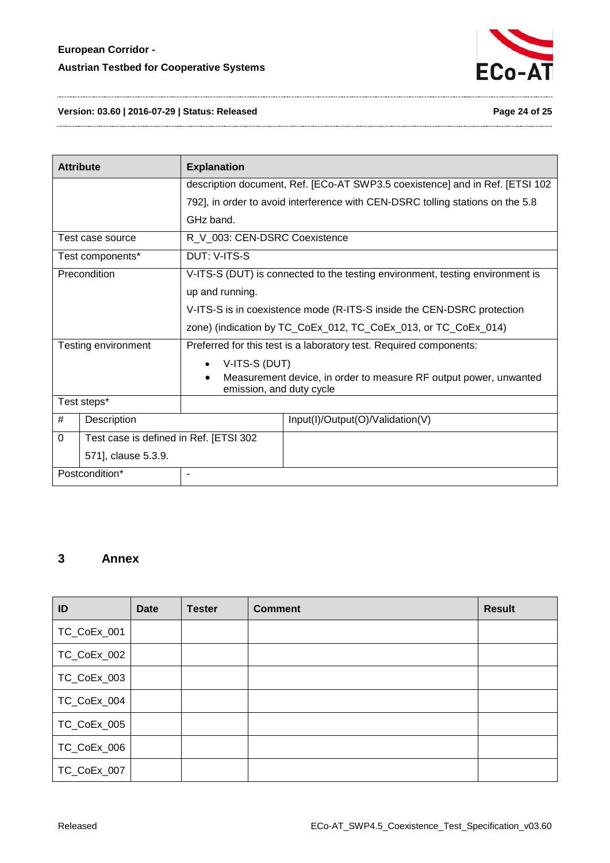

#### **Version: 03.60 | 2016-07-29 | Status: Released Page 24 of 25**

| <b>Attribute</b>    |                                        | <b>Explanation</b>                                                                            |                                  |  |  |
|---------------------|----------------------------------------|-----------------------------------------------------------------------------------------------|----------------------------------|--|--|
|                     |                                        | description document, Ref. [ECo-AT SWP3.5 coexistence] and in Ref. [ETSI 102                  |                                  |  |  |
|                     |                                        | 792], in order to avoid interference with CEN-DSRC tolling stations on the 5.8                |                                  |  |  |
|                     |                                        | GHz band.                                                                                     |                                  |  |  |
| Test case source    |                                        | R_V_003: CEN-DSRC Coexistence                                                                 |                                  |  |  |
| Test components*    |                                        | DUT: V-ITS-S                                                                                  |                                  |  |  |
| Precondition        |                                        | V-ITS-S (DUT) is connected to the testing environment, testing environment is                 |                                  |  |  |
|                     |                                        | up and running.                                                                               |                                  |  |  |
|                     |                                        | V-ITS-S is in coexistence mode (R-ITS-S inside the CEN-DSRC protection                        |                                  |  |  |
|                     |                                        | zone) (indication by TC_CoEx_012, TC_CoEx_013, or TC_CoEx_014)                                |                                  |  |  |
| Testing environment |                                        | Preferred for this test is a laboratory test. Required components:                            |                                  |  |  |
|                     |                                        | V-ITS-S (DUT)                                                                                 |                                  |  |  |
|                     |                                        | Measurement device, in order to measure RF output power, unwanted<br>emission, and duty cycle |                                  |  |  |
| Test steps*         |                                        |                                                                                               |                                  |  |  |
| #                   | Description                            |                                                                                               | Input(I)/Output(O)/Validation(V) |  |  |
| $\Omega$            | Test case is defined in Ref. [ETSI 302 |                                                                                               |                                  |  |  |
| 571], clause 5.3.9. |                                        |                                                                                               |                                  |  |  |
| Postcondition*      |                                        | ۰                                                                                             |                                  |  |  |

# <span id="page-23-0"></span>**3 Annex**

| ID          | <b>Date</b> | <b>Tester</b> | <b>Comment</b> | <b>Result</b> |
|-------------|-------------|---------------|----------------|---------------|
| TC_CoEx_001 |             |               |                |               |
| TC_CoEx_002 |             |               |                |               |
| TC_CoEx_003 |             |               |                |               |
| TC_CoEx_004 |             |               |                |               |
| TC_CoEx_005 |             |               |                |               |
| TC_CoEx_006 |             |               |                |               |
| TC_CoEx_007 |             |               |                |               |